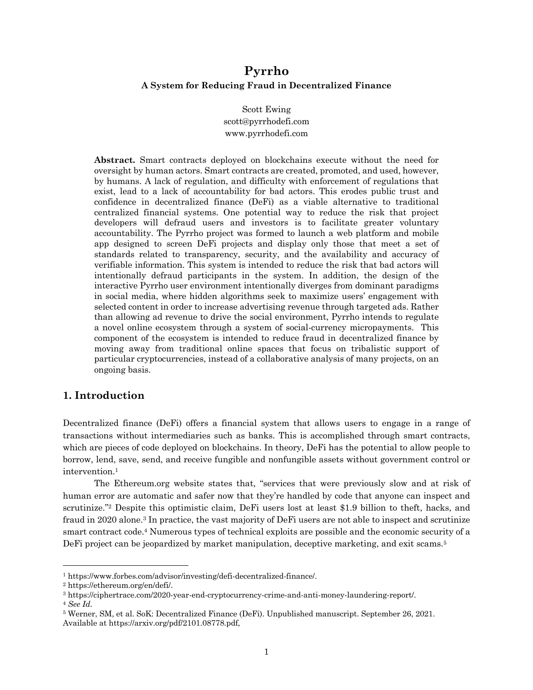# **Pyrrho A System for Reducing Fraud in Decentralized Finance**

Scott Ewing scott@pyrrhodefi.com www.pyrrhodefi.com

**Abstract.** Smart contracts deployed on blockchains execute without the need for oversight by human actors. Smart contracts are created, promoted, and used, however, by humans. A lack of regulation, and difficulty with enforcement of regulations that exist, lead to a lack of accountability for bad actors. This erodes public trust and confidence in decentralized finance (DeFi) as a viable alternative to traditional centralized financial systems. One potential way to reduce the risk that project developers will defraud users and investors is to facilitate greater voluntary accountability. The Pyrrho project was formed to launch a web platform and mobile app designed to screen DeFi projects and display only those that meet a set of standards related to transparency, security, and the availability and accuracy of verifiable information. This system is intended to reduce the risk that bad actors will intentionally defraud participants in the system. In addition, the design of the interactive Pyrrho user environment intentionally diverges from dominant paradigms in social media, where hidden algorithms seek to maximize users' engagement with selected content in order to increase advertising revenue through targeted ads. Rather than allowing ad revenue to drive the social environment, Pyrrho intends to regulate a novel online ecosystem through a system of social-currency micropayments. This component of the ecosystem is intended to reduce fraud in decentralized finance by moving away from traditional online spaces that focus on tribalistic support of particular cryptocurrencies, instead of a collaborative analysis of many projects, on an ongoing basis.

# **1. Introduction**

Decentralized finance (DeFi) offers a financial system that allows users to engage in a range of transactions without intermediaries such as banks. This is accomplished through smart contracts, which are pieces of code deployed on blockchains. In theory, DeFi has the potential to allow people to borrow, lend, save, send, and receive fungible and nonfungible assets without government control or intervention.1

The Ethereum.org website states that, "services that were previously slow and at risk of human error are automatic and safer now that they're handled by code that anyone can inspect and scrutinize."2 Despite this optimistic claim, DeFi users lost at least \$1.9 billion to theft, hacks, and fraud in 2020 alone.3 In practice, the vast majority of DeFi users are not able to inspect and scrutinize smart contract code.4 Numerous types of technical exploits are possible and the economic security of a DeFi project can be jeopardized by market manipulation, deceptive marketing, and exit scams.<sup>5</sup>

<sup>1</sup> https://www.forbes.com/advisor/investing/defi-decentralized-finance/.

<sup>2</sup> https://ethereum.org/en/defi/.

<sup>3</sup> https://ciphertrace.com/2020-year-end-cryptocurrency-crime-and-anti-money-laundering-report/.

<sup>4</sup> *See Id.*

<sup>5</sup> Werner, SM, et al. SoK: Decentralized Finance (DeFi). Unpublished manuscript. September 26, 2021. Available at https://arxiv.org/pdf/2101.08778.pdf,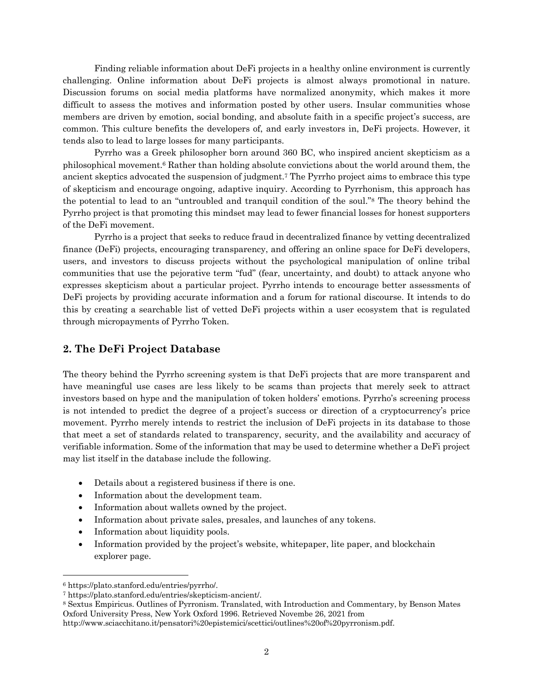Finding reliable information about DeFi projects in a healthy online environment is currently challenging. Online information about DeFi projects is almost always promotional in nature. Discussion forums on social media platforms have normalized anonymity, which makes it more difficult to assess the motives and information posted by other users. Insular communities whose members are driven by emotion, social bonding, and absolute faith in a specific project's success, are common. This culture benefits the developers of, and early investors in, DeFi projects. However, it tends also to lead to large losses for many participants.

Pyrrho was a Greek philosopher born around 360 BC, who inspired ancient skepticism as a philosophical movement.6 Rather than holding absolute convictions about the world around them, the ancient skeptics advocated the suspension of judgment.7 The Pyrrho project aims to embrace this type of skepticism and encourage ongoing, adaptive inquiry. According to Pyrrhonism, this approach has the potential to lead to an "untroubled and tranquil condition of the soul."8 The theory behind the Pyrrho project is that promoting this mindset may lead to fewer financial losses for honest supporters of the DeFi movement.

Pyrrho is a project that seeks to reduce fraud in decentralized finance by vetting decentralized finance (DeFi) projects, encouraging transparency, and offering an online space for DeFi developers, users, and investors to discuss projects without the psychological manipulation of online tribal communities that use the pejorative term "fud" (fear, uncertainty, and doubt) to attack anyone who expresses skepticism about a particular project. Pyrrho intends to encourage better assessments of DeFi projects by providing accurate information and a forum for rational discourse. It intends to do this by creating a searchable list of vetted DeFi projects within a user ecosystem that is regulated through micropayments of Pyrrho Token.

# **2. The DeFi Project Database**

The theory behind the Pyrrho screening system is that DeFi projects that are more transparent and have meaningful use cases are less likely to be scams than projects that merely seek to attract investors based on hype and the manipulation of token holders' emotions. Pyrrho's screening process is not intended to predict the degree of a project's success or direction of a cryptocurrency's price movement. Pyrrho merely intends to restrict the inclusion of DeFi projects in its database to those that meet a set of standards related to transparency, security, and the availability and accuracy of verifiable information. Some of the information that may be used to determine whether a DeFi project may list itself in the database include the following.

- Details about a registered business if there is one.
- Information about the development team.
- Information about wallets owned by the project.
- Information about private sales, presales, and launches of any tokens.
- Information about liquidity pools.
- Information provided by the project's website, white paper, lite paper, and blockchain explorer page.

<sup>6</sup> https://plato.stanford.edu/entries/pyrrho/.

<sup>7</sup> https://plato.stanford.edu/entries/skepticism-ancient/.

<sup>8</sup> Sextus Empiricus. Outlines of Pyrronism. Translated, with Introduction and Commentary, by Benson Mates Oxford University Press, New York Oxford 1996. Retrieved Novembe 26, 2021 from

http://www.sciacchitano.it/pensatori%20epistemici/scettici/outlines%20of%20pyrronism.pdf.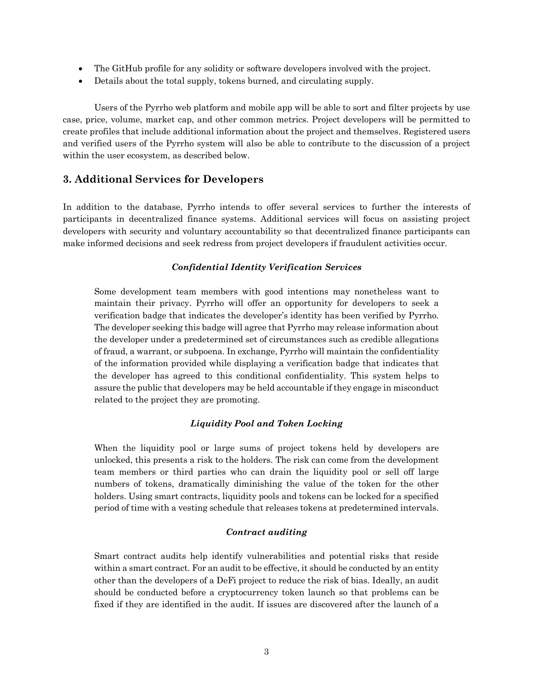- The GitHub profile for any solidity or software developers involved with the project.
- Details about the total supply, tokens burned, and circulating supply.

Users of the Pyrrho web platform and mobile app will be able to sort and filter projects by use case, price, volume, market cap, and other common metrics. Project developers will be permitted to create profiles that include additional information about the project and themselves. Registered users and verified users of the Pyrrho system will also be able to contribute to the discussion of a project within the user ecosystem, as described below.

# **3. Additional Services for Developers**

In addition to the database, Pyrrho intends to offer several services to further the interests of participants in decentralized finance systems. Additional services will focus on assisting project developers with security and voluntary accountability so that decentralized finance participants can make informed decisions and seek redress from project developers if fraudulent activities occur.

# *Confidential Identity Verification Services*

Some development team members with good intentions may nonetheless want to maintain their privacy. Pyrrho will offer an opportunity for developers to seek a verification badge that indicates the developer's identity has been verified by Pyrrho. The developer seeking this badge will agree that Pyrrho may release information about the developer under a predetermined set of circumstances such as credible allegations of fraud, a warrant, or subpoena. In exchange, Pyrrho will maintain the confidentiality of the information provided while displaying a verification badge that indicates that the developer has agreed to this conditional confidentiality. This system helps to assure the public that developers may be held accountable if they engage in misconduct related to the project they are promoting.

# *Liquidity Pool and Token Locking*

When the liquidity pool or large sums of project tokens held by developers are unlocked, this presents a risk to the holders. The risk can come from the development team members or third parties who can drain the liquidity pool or sell off large numbers of tokens, dramatically diminishing the value of the token for the other holders. Using smart contracts, liquidity pools and tokens can be locked for a specified period of time with a vesting schedule that releases tokens at predetermined intervals.

## *Contract auditing*

Smart contract audits help identify vulnerabilities and potential risks that reside within a smart contract. For an audit to be effective, it should be conducted by an entity other than the developers of a DeFi project to reduce the risk of bias. Ideally, an audit should be conducted before a cryptocurrency token launch so that problems can be fixed if they are identified in the audit. If issues are discovered after the launch of a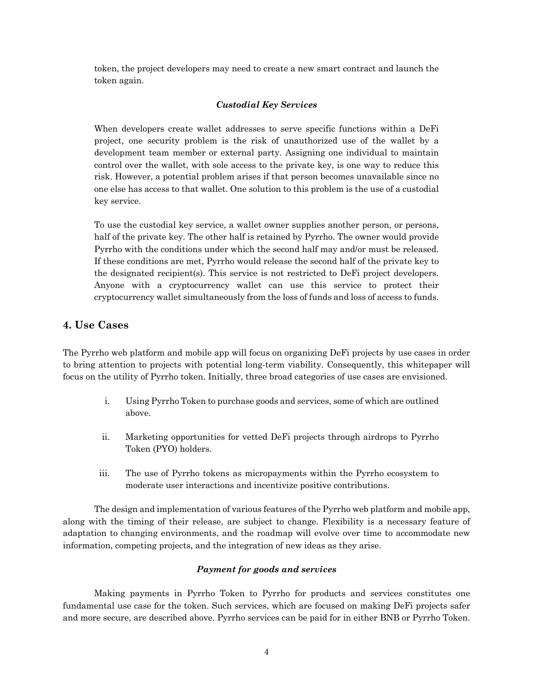token, the project developers may need to create a new smart contract and launch the token again.

## *Custodial Key Services*

When developers create wallet addresses to serve specific functions within a DeFi project, one security problem is the risk of unauthorized use of the wallet by a development team member or external party. Assigning one individual to maintain control over the wallet, with sole access to the private key, is one way to reduce this risk. However, a potential problem arises if that person becomes unavailable since no one else has access to that wallet. One solution to this problem is the use of a custodial key service.

To use the custodial key service, a wallet owner supplies another person, or persons, half of the private key. The other half is retained by Pyrrho. The owner would provide Pyrrho with the conditions under which the second half may and/or must be released. If these conditions are met, Pyrrho would release the second half of the private key to the designated recipient(s). This service is not restricted to DeFi project developers. Anyone with a cryptocurrency wallet can use this service to protect their cryptocurrency wallet simultaneously from the loss of funds and loss of access to funds.

# **4. Use Cases**

The Pyrrho web platform and mobile app will focus on organizing DeFi projects by use cases in order to bring attention to projects with potential long-term viability. Consequently, this whitepaper will focus on the utility of Pyrrho token. Initially, three broad categories of use cases are envisioned.

- i. Using Pyrrho Token to purchase goods and services, some of which are outlined above.
- ii. Marketing opportunities for vetted DeFi projects through airdrops to Pyrrho Token (PYO) holders.
- iii. The use of Pyrrho tokens as micropayments within the Pyrrho ecosystem to moderate user interactions and incentivize positive contributions.

The design and implementation of various features of the Pyrrho web platform and mobile app, along with the timing of their release, are subject to change. Flexibility is a necessary feature of adaptation to changing environments, and the roadmap will evolve over time to accommodate new information, competing projects, and the integration of new ideas as they arise.

## *Payment for goods and services*

Making payments in Pyrrho Token to Pyrrho for products and services constitutes one fundamental use case for the token. Such services, which are focused on making DeFi projects safer and more secure, are described above. Pyrrho services can be paid for in either BNB or Pyrrho Token.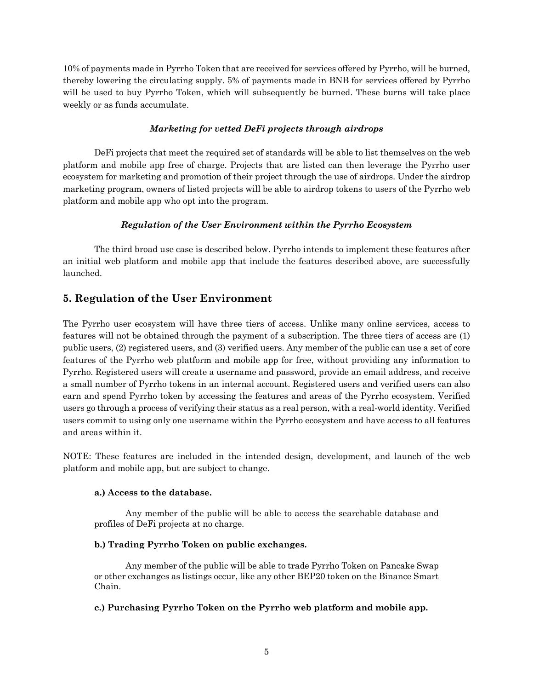10% of payments made in Pyrrho Token that are received for services offered by Pyrrho, will be burned, thereby lowering the circulating supply. 5% of payments made in BNB for services offered by Pyrrho will be used to buy Pyrrho Token, which will subsequently be burned. These burns will take place weekly or as funds accumulate.

# *Marketing for vetted DeFi projects through airdrops*

DeFi projects that meet the required set of standards will be able to list themselves on the web platform and mobile app free of charge. Projects that are listed can then leverage the Pyrrho user ecosystem for marketing and promotion of their project through the use of airdrops. Under the airdrop marketing program, owners of listed projects will be able to airdrop tokens to users of the Pyrrho web platform and mobile app who opt into the program.

# *Regulation of the User Environment within the Pyrrho Ecosystem*

The third broad use case is described below. Pyrrho intends to implement these features after an initial web platform and mobile app that include the features described above, are successfully launched.

# **5. Regulation of the User Environment**

The Pyrrho user ecosystem will have three tiers of access. Unlike many online services, access to features will not be obtained through the payment of a subscription. The three tiers of access are (1) public users, (2) registered users, and (3) verified users. Any member of the public can use a set of core features of the Pyrrho web platform and mobile app for free, without providing any information to Pyrrho. Registered users will create a username and password, provide an email address, and receive a small number of Pyrrho tokens in an internal account. Registered users and verified users can also earn and spend Pyrrho token by accessing the features and areas of the Pyrrho ecosystem. Verified users go through a process of verifying their status as a real person, with a real-world identity. Verified users commit to using only one username within the Pyrrho ecosystem and have access to all features and areas within it.

NOTE: These features are included in the intended design, development, and launch of the web platform and mobile app, but are subject to change.

# **a.) Access to the database.**

Any member of the public will be able to access the searchable database and profiles of DeFi projects at no charge.

# **b.) Trading Pyrrho Token on public exchanges.**

Any member of the public will be able to trade Pyrrho Token on Pancake Swap or other exchanges as listings occur, like any other BEP20 token on the Binance Smart Chain.

## **c.) Purchasing Pyrrho Token on the Pyrrho web platform and mobile app.**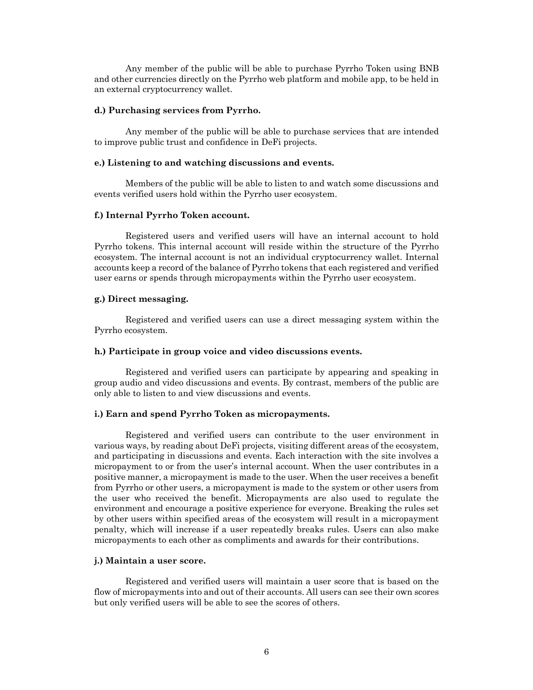Any member of the public will be able to purchase Pyrrho Token using BNB and other currencies directly on the Pyrrho web platform and mobile app, to be held in an external cryptocurrency wallet.

#### **d.) Purchasing services from Pyrrho.**

Any member of the public will be able to purchase services that are intended to improve public trust and confidence in DeFi projects.

#### **e.) Listening to and watching discussions and events.**

Members of the public will be able to listen to and watch some discussions and events verified users hold within the Pyrrho user ecosystem.

#### **f.) Internal Pyrrho Token account.**

Registered users and verified users will have an internal account to hold Pyrrho tokens. This internal account will reside within the structure of the Pyrrho ecosystem. The internal account is not an individual cryptocurrency wallet. Internal accounts keep a record of the balance of Pyrrho tokens that each registered and verified user earns or spends through micropayments within the Pyrrho user ecosystem.

#### **g.) Direct messaging.**

Registered and verified users can use a direct messaging system within the Pyrrho ecosystem.

#### **h.) Participate in group voice and video discussions events.**

Registered and verified users can participate by appearing and speaking in group audio and video discussions and events. By contrast, members of the public are only able to listen to and view discussions and events.

#### **i.) Earn and spend Pyrrho Token as micropayments.**

Registered and verified users can contribute to the user environment in various ways, by reading about DeFi projects, visiting different areas of the ecosystem, and participating in discussions and events. Each interaction with the site involves a micropayment to or from the user's internal account. When the user contributes in a positive manner, a micropayment is made to the user. When the user receives a benefit from Pyrrho or other users, a micropayment is made to the system or other users from the user who received the benefit. Micropayments are also used to regulate the environment and encourage a positive experience for everyone. Breaking the rules set by other users within specified areas of the ecosystem will result in a micropayment penalty, which will increase if a user repeatedly breaks rules. Users can also make micropayments to each other as compliments and awards for their contributions.

#### **j.) Maintain a user score.**

Registered and verified users will maintain a user score that is based on the flow of micropayments into and out of their accounts. All users can see their own scores but only verified users will be able to see the scores of others.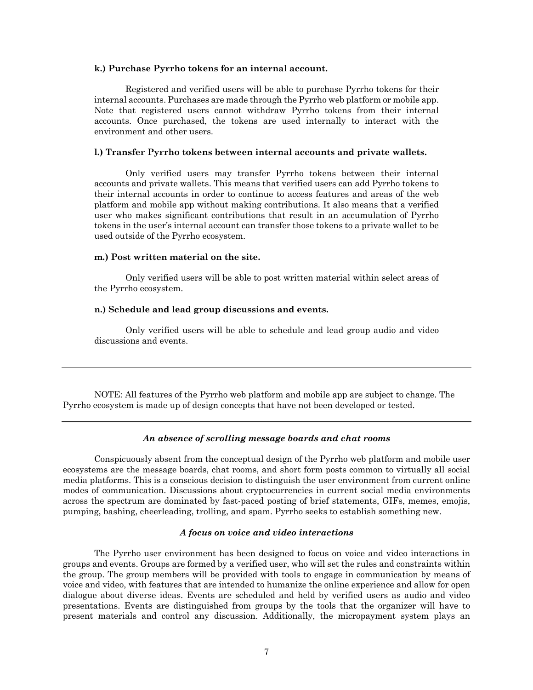#### **k.) Purchase Pyrrho tokens for an internal account.**

Registered and verified users will be able to purchase Pyrrho tokens for their internal accounts. Purchases are made through the Pyrrho web platform or mobile app. Note that registered users cannot withdraw Pyrrho tokens from their internal accounts. Once purchased, the tokens are used internally to interact with the environment and other users.

### **l.) Transfer Pyrrho tokens between internal accounts and private wallets.**

Only verified users may transfer Pyrrho tokens between their internal accounts and private wallets. This means that verified users can add Pyrrho tokens to their internal accounts in order to continue to access features and areas of the web platform and mobile app without making contributions. It also means that a verified user who makes significant contributions that result in an accumulation of Pyrrho tokens in the user's internal account can transfer those tokens to a private wallet to be used outside of the Pyrrho ecosystem.

#### **m.) Post written material on the site.**

Only verified users will be able to post written material within select areas of the Pyrrho ecosystem.

#### **n.) Schedule and lead group discussions and events.**

Only verified users will be able to schedule and lead group audio and video discussions and events.

NOTE: All features of the Pyrrho web platform and mobile app are subject to change. The Pyrrho ecosystem is made up of design concepts that have not been developed or tested.

### *An absence of scrolling message boards and chat rooms*

Conspicuously absent from the conceptual design of the Pyrrho web platform and mobile user ecosystems are the message boards, chat rooms, and short form posts common to virtually all social media platforms. This is a conscious decision to distinguish the user environment from current online modes of communication. Discussions about cryptocurrencies in current social media environments across the spectrum are dominated by fast-paced posting of brief statements, GIFs, memes, emojis, pumping, bashing, cheerleading, trolling, and spam. Pyrrho seeks to establish something new.

### *A focus on voice and video interactions*

The Pyrrho user environment has been designed to focus on voice and video interactions in groups and events. Groups are formed by a verified user, who will set the rules and constraints within the group. The group members will be provided with tools to engage in communication by means of voice and video, with features that are intended to humanize the online experience and allow for open dialogue about diverse ideas. Events are scheduled and held by verified users as audio and video presentations. Events are distinguished from groups by the tools that the organizer will have to present materials and control any discussion. Additionally, the micropayment system plays an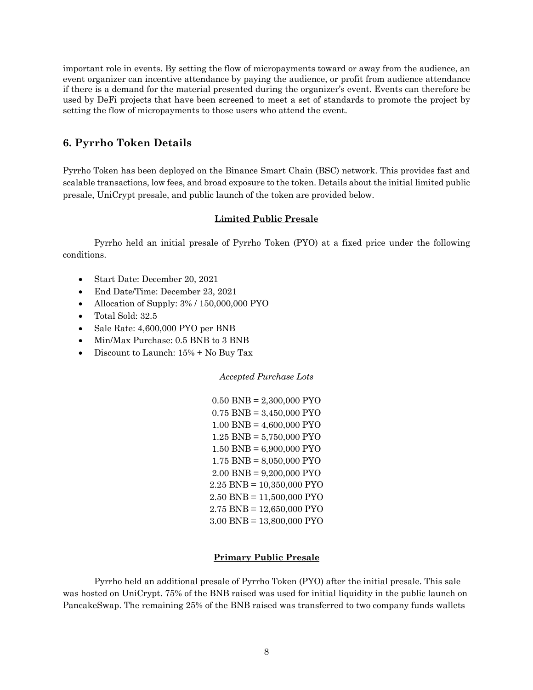important role in events. By setting the flow of micropayments toward or away from the audience, an event organizer can incentive attendance by paying the audience, or profit from audience attendance if there is a demand for the material presented during the organizer's event. Events can therefore be used by DeFi projects that have been screened to meet a set of standards to promote the project by setting the flow of micropayments to those users who attend the event.

# **6. Pyrrho Token Details**

Pyrrho Token has been deployed on the Binance Smart Chain (BSC) network. This provides fast and scalable transactions, low fees, and broad exposure to the token. Details about the initial limited public presale, UniCrypt presale, and public launch of the token are provided below.

## **Limited Public Presale**

Pyrrho held an initial presale of Pyrrho Token (PYO) at a fixed price under the following conditions.

- Start Date: December 20, 2021
- End Date/Time: December 23, 2021
- Allocation of Supply: 3% / 150,000,000 PYO
- Total Sold: 32.5
- Sale Rate: 4,600,000 PYO per BNB
- Min/Max Purchase: 0.5 BNB to 3 BNB
- Discount to Launch:  $15\%$  + No Buy Tax

*Accepted Purchase Lots*

0.50 BNB = 2,300,000 PYO  $0.75$  BNB = 3,450,000 PYO 1.00 BNB = 4,600,000 PYO 1.25 BNB = 5,750,000 PYO 1.50 BNB = 6,900,000 PYO 1.75 BNB = 8,050,000 PYO 2.00 BNB = 9,200,000 PYO 2.25 BNB = 10,350,000 PYO 2.50 BNB = 11,500,000 PYO 2.75 BNB = 12,650,000 PYO 3.00 BNB = 13,800,000 PYO

## **Primary Public Presale**

Pyrrho held an additional presale of Pyrrho Token (PYO) after the initial presale. This sale was hosted on UniCrypt. 75% of the BNB raised was used for initial liquidity in the public launch on PancakeSwap. The remaining 25% of the BNB raised was transferred to two company funds wallets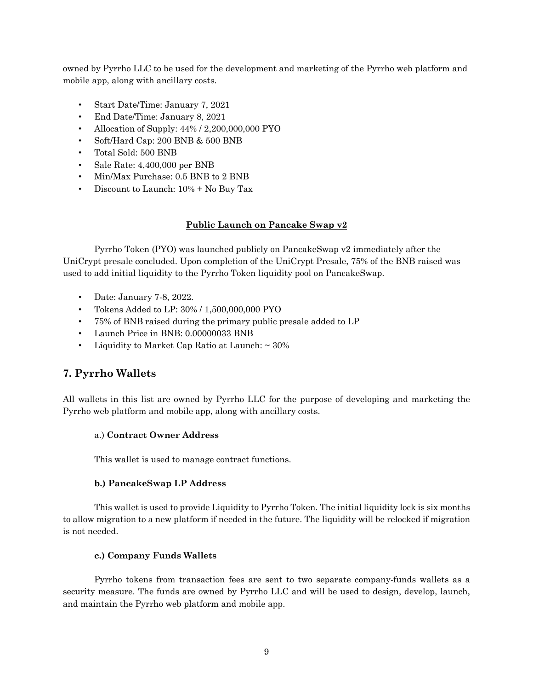owned by Pyrrho LLC to be used for the development and marketing of the Pyrrho web platform and mobile app, along with ancillary costs.

- Start Date/Time: January 7, 2021
- End Date/Time: January 8, 2021
- Allocation of Supply: 44% / 2,200,000,000 PYO
- Soft/Hard Cap: 200 BNB & 500 BNB
- Total Sold: 500 BNB
- Sale Rate: 4,400,000 per BNB
- Min/Max Purchase: 0.5 BNB to 2 BNB
- Discount to Launch: 10% + No Buy Tax

## **Public Launch on Pancake Swap v2**

Pyrrho Token (PYO) was launched publicly on PancakeSwap v2 immediately after the UniCrypt presale concluded. Upon completion of the UniCrypt Presale, 75% of the BNB raised was used to add initial liquidity to the Pyrrho Token liquidity pool on PancakeSwap.

- Date: January 7-8, 2022.
- Tokens Added to LP: 30% / 1,500,000,000 PYO
- 75% of BNB raised during the primary public presale added to LP
- Launch Price in BNB: 0.00000033 BNB
- Liquidity to Market Cap Ratio at Launch:  $\sim$  30%

# **7. Pyrrho Wallets**

All wallets in this list are owned by Pyrrho LLC for the purpose of developing and marketing the Pyrrho web platform and mobile app, along with ancillary costs.

## a.) **Contract Owner Address**

This wallet is used to manage contract functions.

### **b.) PancakeSwap LP Address**

This wallet is used to provide Liquidity to Pyrrho Token. The initial liquidity lock is six months to allow migration to a new platform if needed in the future. The liquidity will be relocked if migration is not needed.

## **c.) Company Funds Wallets**

Pyrrho tokens from transaction fees are sent to two separate company-funds wallets as a security measure. The funds are owned by Pyrrho LLC and will be used to design, develop, launch, and maintain the Pyrrho web platform and mobile app.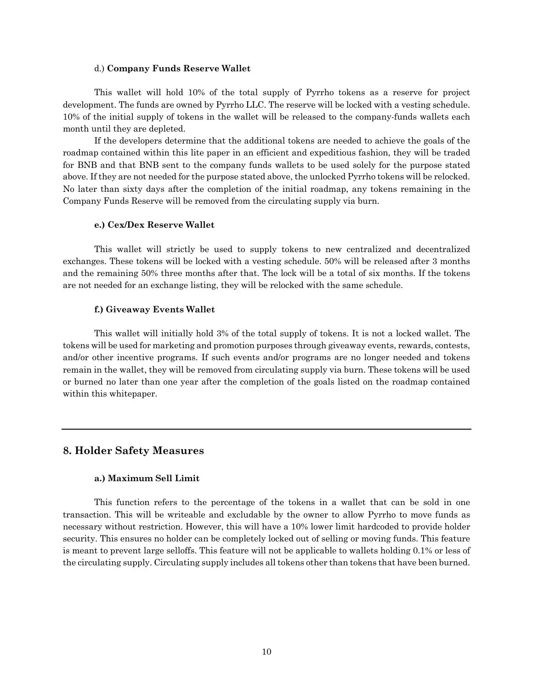#### d.) **Company Funds Reserve Wallet**

This wallet will hold 10% of the total supply of Pyrrho tokens as a reserve for project development. The funds are owned by Pyrrho LLC. The reserve will be locked with a vesting schedule. 10% of the initial supply of tokens in the wallet will be released to the company-funds wallets each month until they are depleted.

If the developers determine that the additional tokens are needed to achieve the goals of the roadmap contained within this lite paper in an efficient and expeditious fashion, they will be traded for BNB and that BNB sent to the company funds wallets to be used solely for the purpose stated above. If they are not needed for the purpose stated above, the unlocked Pyrrho tokens will be relocked. No later than sixty days after the completion of the initial roadmap, any tokens remaining in the Company Funds Reserve will be removed from the circulating supply via burn.

#### **e.) Cex/Dex Reserve Wallet**

This wallet will strictly be used to supply tokens to new centralized and decentralized exchanges. These tokens will be locked with a vesting schedule. 50% will be released after 3 months and the remaining 50% three months after that. The lock will be a total of six months. If the tokens are not needed for an exchange listing, they will be relocked with the same schedule.

#### **f.) Giveaway Events Wallet**

This wallet will initially hold 3% of the total supply of tokens. It is not a locked wallet. The tokens will be used for marketing and promotion purposes through giveaway events, rewards, contests, and/or other incentive programs. If such events and/or programs are no longer needed and tokens remain in the wallet, they will be removed from circulating supply via burn. These tokens will be used or burned no later than one year after the completion of the goals listed on the roadmap contained within this whitepaper.

# **8. Holder Safety Measures**

#### **a.) Maximum Sell Limit**

This function refers to the percentage of the tokens in a wallet that can be sold in one transaction. This will be writeable and excludable by the owner to allow Pyrrho to move funds as necessary without restriction. However, this will have a 10% lower limit hardcoded to provide holder security. This ensures no holder can be completely locked out of selling or moving funds. This feature is meant to prevent large selloffs. This feature will not be applicable to wallets holding 0.1% or less of the circulating supply. Circulating supply includes all tokens other than tokens that have been burned.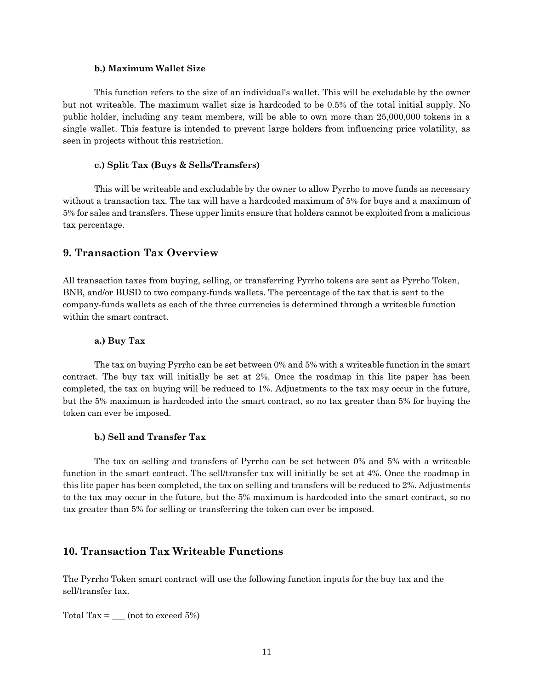#### **b.) Maximum Wallet Size**

This function refers to the size of an individual's wallet. This will be excludable by the owner but not writeable. The maximum wallet size is hardcoded to be 0.5% of the total initial supply. No public holder, including any team members, will be able to own more than 25,000,000 tokens in a single wallet. This feature is intended to prevent large holders from influencing price volatility, as seen in projects without this restriction.

#### **c.) Split Tax (Buys & Sells/Transfers)**

This will be writeable and excludable by the owner to allow Pyrrho to move funds as necessary without a transaction tax. The tax will have a hardcoded maximum of 5% for buys and a maximum of 5% for sales and transfers. These upper limits ensure that holders cannot be exploited from a malicious tax percentage.

## **9. Transaction Tax Overview**

All transaction taxes from buying, selling, or transferring Pyrrho tokens are sent as Pyrrho Token, BNB, and/or BUSD to two company-funds wallets. The percentage of the tax that is sent to the company-funds wallets as each of the three currencies is determined through a writeable function within the smart contract.

### **a.) Buy Tax**

The tax on buying Pyrrho can be set between 0% and 5% with a writeable function in the smart contract. The buy tax will initially be set at 2%. Once the roadmap in this lite paper has been completed, the tax on buying will be reduced to 1%. Adjustments to the tax may occur in the future, but the 5% maximum is hardcoded into the smart contract, so no tax greater than 5% for buying the token can ever be imposed.

### **b.) Sell and Transfer Tax**

The tax on selling and transfers of Pyrrho can be set between 0% and 5% with a writeable function in the smart contract. The sell/transfer tax will initially be set at 4%. Once the roadmap in this lite paper has been completed, the tax on selling and transfers will be reduced to 2%. Adjustments to the tax may occur in the future, but the 5% maximum is hardcoded into the smart contract, so no tax greater than 5% for selling or transferring the token can ever be imposed.

# **10. Transaction Tax Writeable Functions**

The Pyrrho Token smart contract will use the following function inputs for the buy tax and the sell/transfer tax.

Total Tax  $=$  \_\_\_\_ (not to exceed 5%)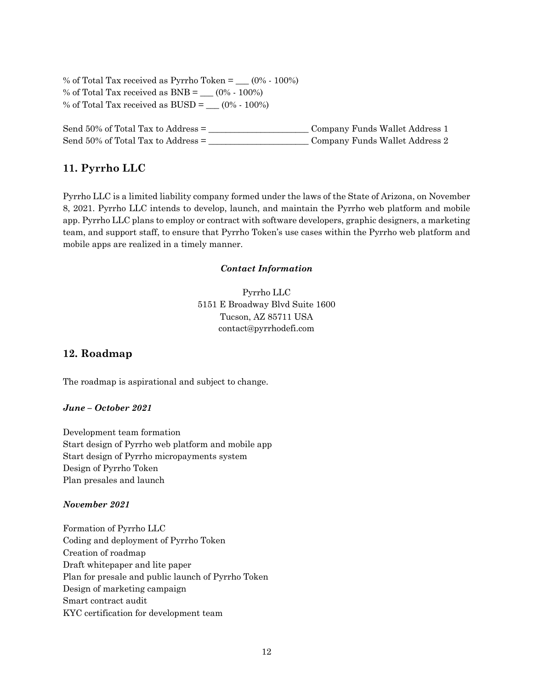% of Total Tax received as Pyrrho Token =  $(0\% \cdot 100\%)$ % of Total Tax received as  $BNB =$  (0% - 100%) % of Total Tax received as  $\text{BUSD} =$   $(0\% \cdot 100\%)$ 

Send 50% of Total Tax to Address = \_\_\_\_\_\_\_\_\_\_\_\_\_\_\_\_\_\_\_\_\_\_\_ Company Funds Wallet Address 1 Send 50% of Total Tax to Address = \_\_\_\_\_\_\_\_\_\_\_\_\_\_\_\_\_\_\_\_\_\_\_ Company Funds Wallet Address 2

# **11. Pyrrho LLC**

Pyrrho LLC is a limited liability company formed under the laws of the State of Arizona, on November 8, 2021. Pyrrho LLC intends to develop, launch, and maintain the Pyrrho web platform and mobile app. Pyrrho LLC plans to employ or contract with software developers, graphic designers, a marketing team, and support staff, to ensure that Pyrrho Token's use cases within the Pyrrho web platform and mobile apps are realized in a timely manner.

## *Contact Information*

Pyrrho LLC 5151 E Broadway Blvd Suite 1600 Tucson, AZ 85711 USA contact@pyrrhodefi.com

# **12. Roadmap**

The roadmap is aspirational and subject to change.

## *June – October 2021*

Development team formation Start design of Pyrrho web platform and mobile app Start design of Pyrrho micropayments system Design of Pyrrho Token Plan presales and launch

## *November 2021*

Formation of Pyrrho LLC Coding and deployment of Pyrrho Token Creation of roadmap Draft whitepaper and lite paper Plan for presale and public launch of Pyrrho Token Design of marketing campaign Smart contract audit KYC certification for development team